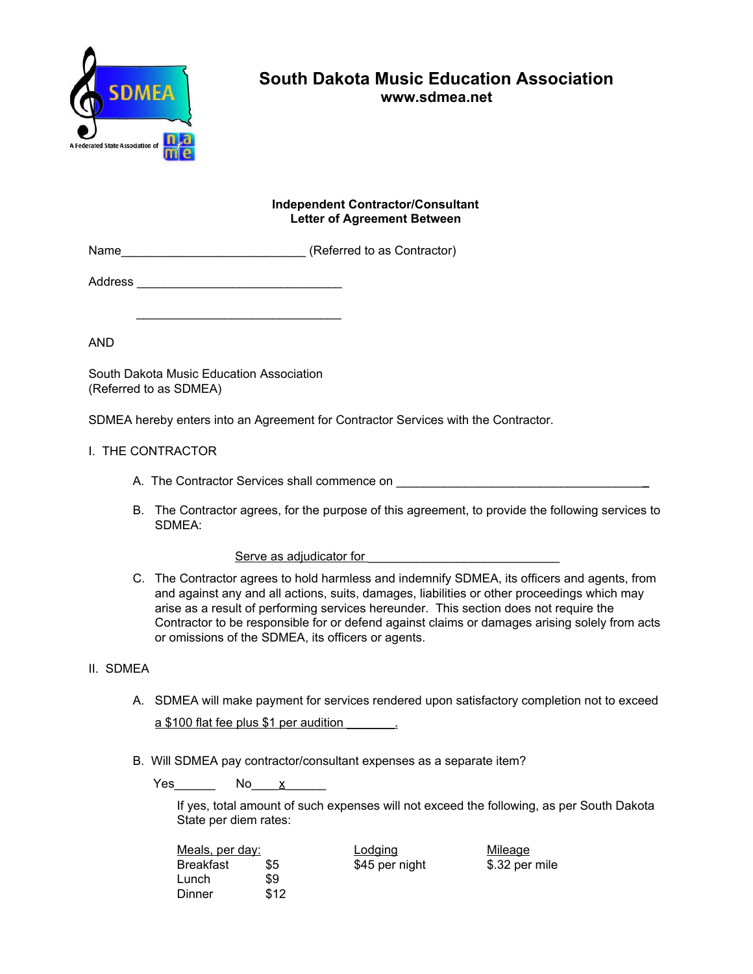

# **South Dakota Music Education Association**

**www.sdmea.net**

## **Independent Contractor/Consultant Letter of Agreement Between**

| Name | (Referred to as Contractor) |
|------|-----------------------------|
|------|-----------------------------|

Address \_\_\_\_\_\_\_\_\_\_\_\_\_\_\_\_\_\_\_\_\_\_\_\_\_\_\_\_\_\_

\_\_\_\_\_\_\_\_\_\_\_\_\_\_\_\_\_\_\_\_\_\_\_\_\_\_\_\_\_\_

AND

South Dakota Music Education Association (Referred to as SDMEA)

SDMEA hereby enters into an Agreement for Contractor Services with the Contractor.

# I. THE CONTRACTOR

- A. The Contractor Services shall commence on  $\overline{a}$
- B. The Contractor agrees, for the purpose of this agreement, to provide the following services to SDMEA:

#### Serve as adjudicator for

C. The Contractor agrees to hold harmless and indemnify SDMEA, its officers and agents, from and against any and all actions, suits, damages, liabilities or other proceedings which may arise as a result of performing services hereunder. This section does not require the Contractor to be responsible for or defend against claims or damages arising solely from acts or omissions of the SDMEA, its officers or agents.

# II. SDMEA

A. SDMEA will make payment for services rendered upon satisfactory completion not to exceed

a \$100 flat fee plus \$1 per audition

B. Will SDMEA pay contractor/consultant expenses as a separate item?

Yes\_\_\_\_\_\_\_\_\_ No\_\_\_\_<u>x</u>\_\_\_\_\_\_

If yes, total amount of such expenses will not exceed the following, as per South Dakota State per diem rates:

| Meals, per day: |      | Lodging        | Mileage        |
|-----------------|------|----------------|----------------|
| Breakfast       | \$5  | \$45 per night | \$.32 per mile |
| Lunch           | \$9  |                |                |
| Dinner          | \$12 |                |                |